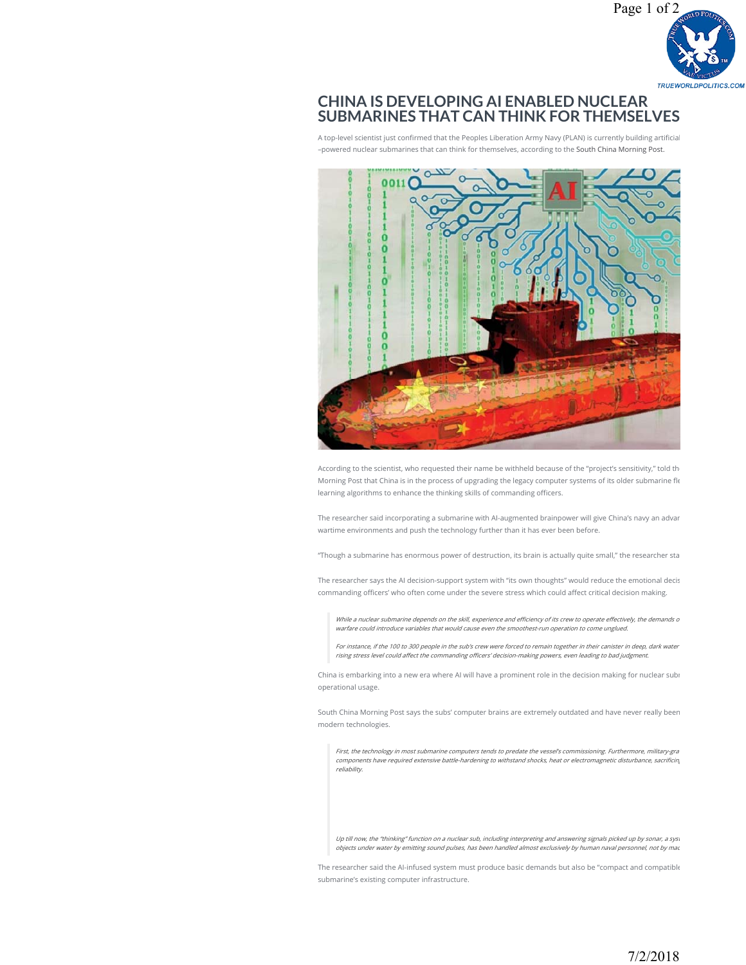

## **CHINA IS DEVELOPING AI ENABLED NUCLEAR [SUBMARINES THAT CAN THINK FOR THEMSELVES](https://stockboardasset.com/insights-and-research/china-developing-ai-enabled-nuclear-submarines-can-think/)**

A top-level scientist just confirmed that the Peoples Liberation Army Navy (PLAN) is currently building artificial –powered nuclear submarines that can think for themselves, according to the South China Morning Post.



According to the scientist, who requested their name be withheld because of the "project's sensitivity," told th Morning Post that China is in the process of upgrading the legacy computer systems of its older submarine fle learning algorithms to enhance the thinking skills of commanding officers.

The researcher said incorporating a submarine with AI-augmented brainpower will give China's navy an advan wartime environments and push the technology further than it has ever been before.

"Though a submarine has enormous power of destruction, its brain is actually quite small," the researcher sta

The researcher says the AI decision-support system with "its own thoughts" would reduce the emotional decis commanding officers' who often come under the severe stress which could affect critical decision making.

While a nuclear submarine depends on the skill, experience and efficiency of its crew to operate effectively, the demands o warfare could introduce variables that would cause even the smoothest-run operation to come unglued.

For instance, if the 100 to 300 people in the sub's crew were forced to remain together in their canister in deep, dark water rising stress level could affect the commanding officers' decision-making powers, even leading to bad judgment.

China is embarking into a new era where AI will have a prominent role in the decision making for nuclear subr operational usage.

South China Morning Post says the subs' computer brains are extremely outdated and have never really been modern technologies.

First, the technology in most submarine computers tends to predate the vessel's commissioning. Furthermore, military-gra<br>components have required extensive battle-hardening to withstand shocks, heat or electromagnetic dist reliability.

Up till now, the "thinking" function on a nuclear sub, including interpreting and answering signals picked up by sonar, a syst objects under water by emitting sound pulses, has been handled almost exclusively by human naval personnel, not by mac

The researcher said the AI-infused system must produce basic demands but also be "compact and compatible submarine's existing computer infrastructure.